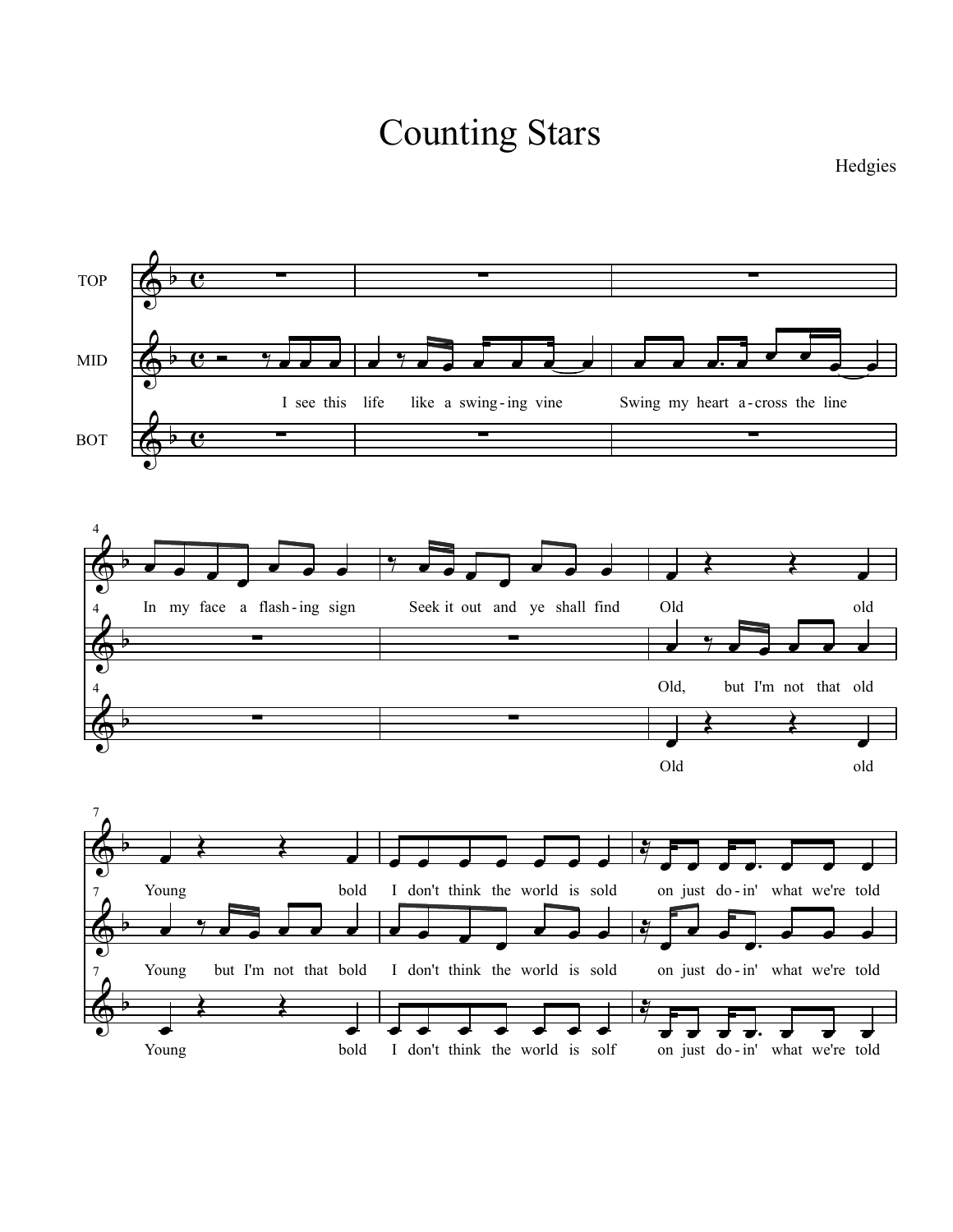## Counting Stars

Hedgies

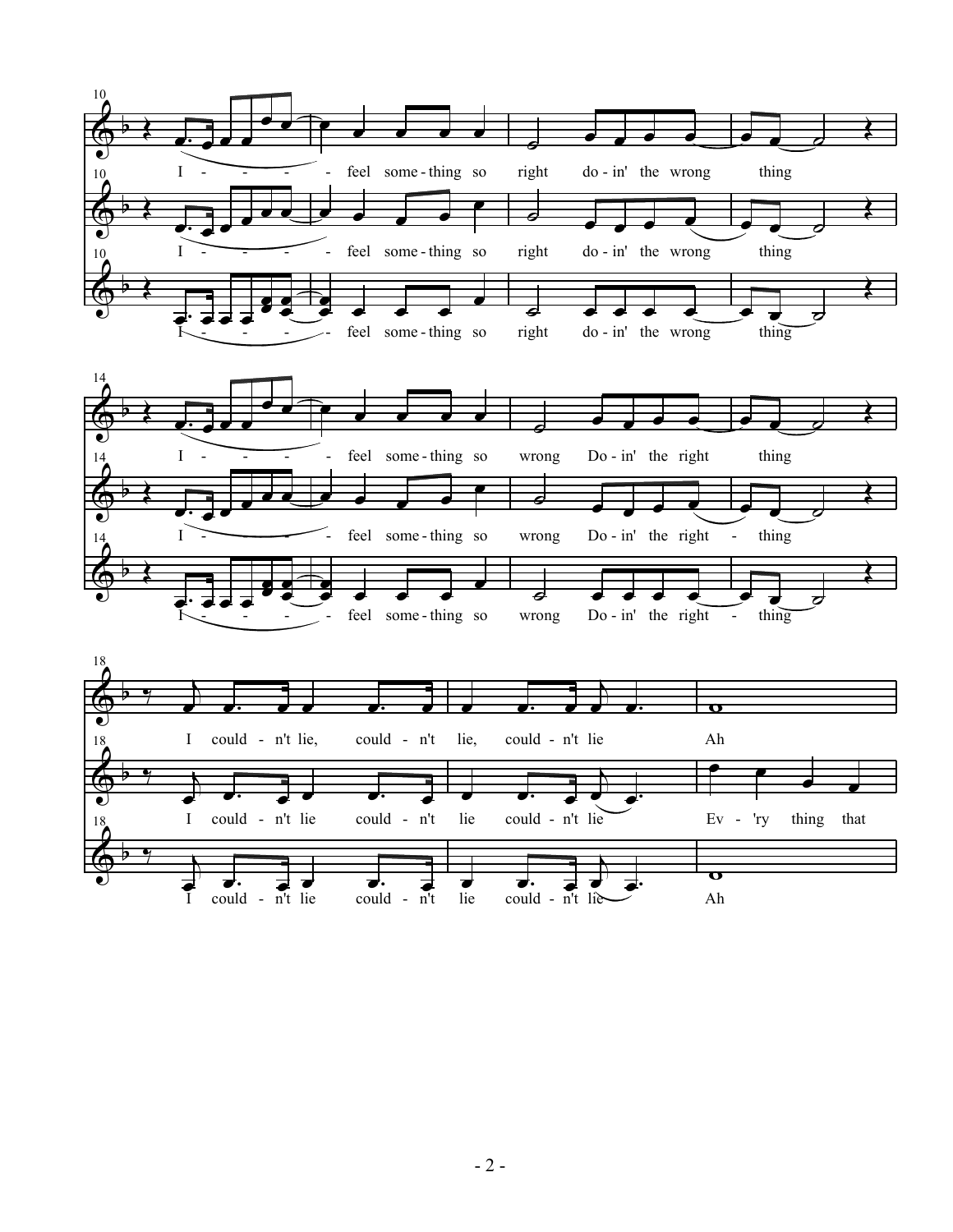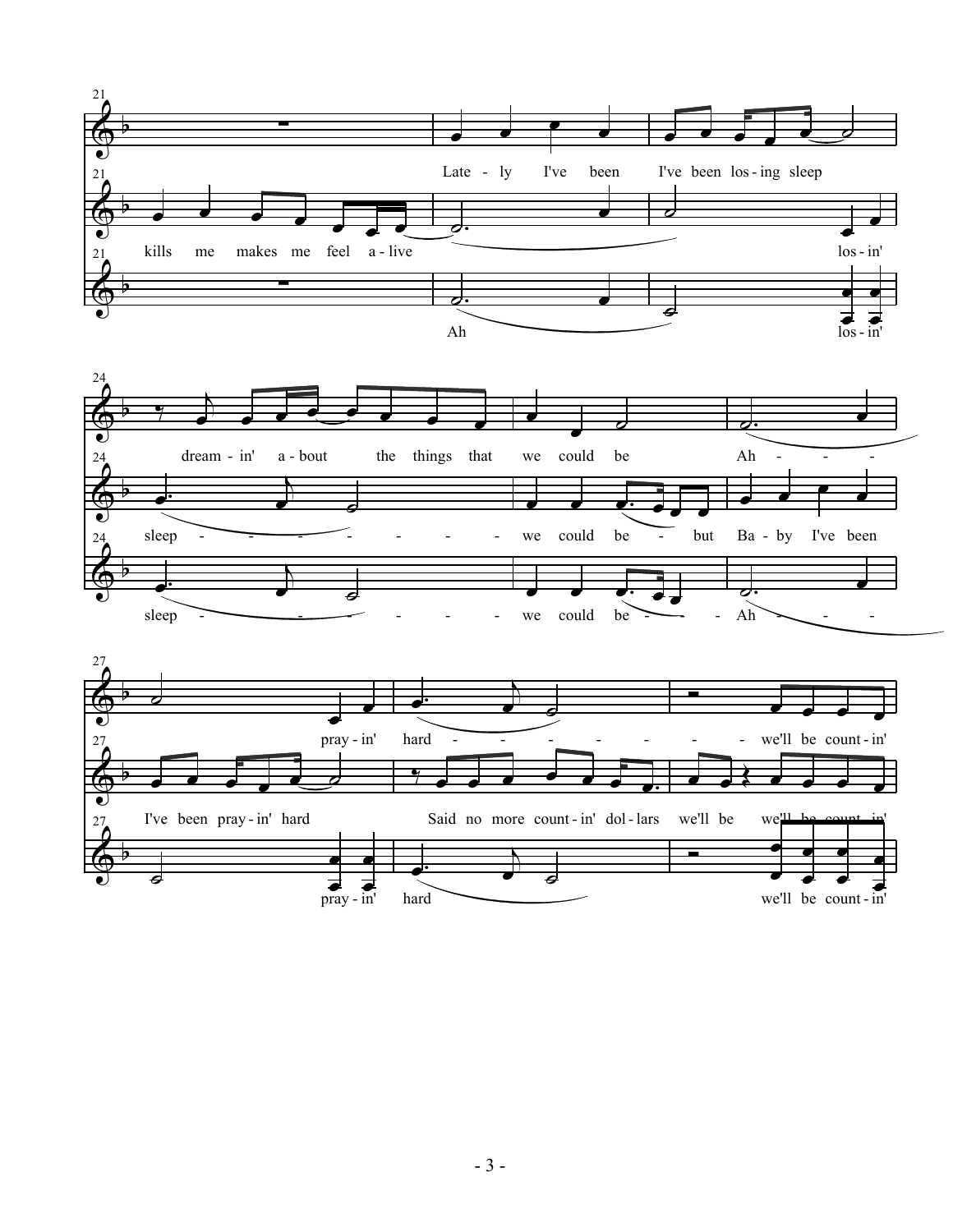



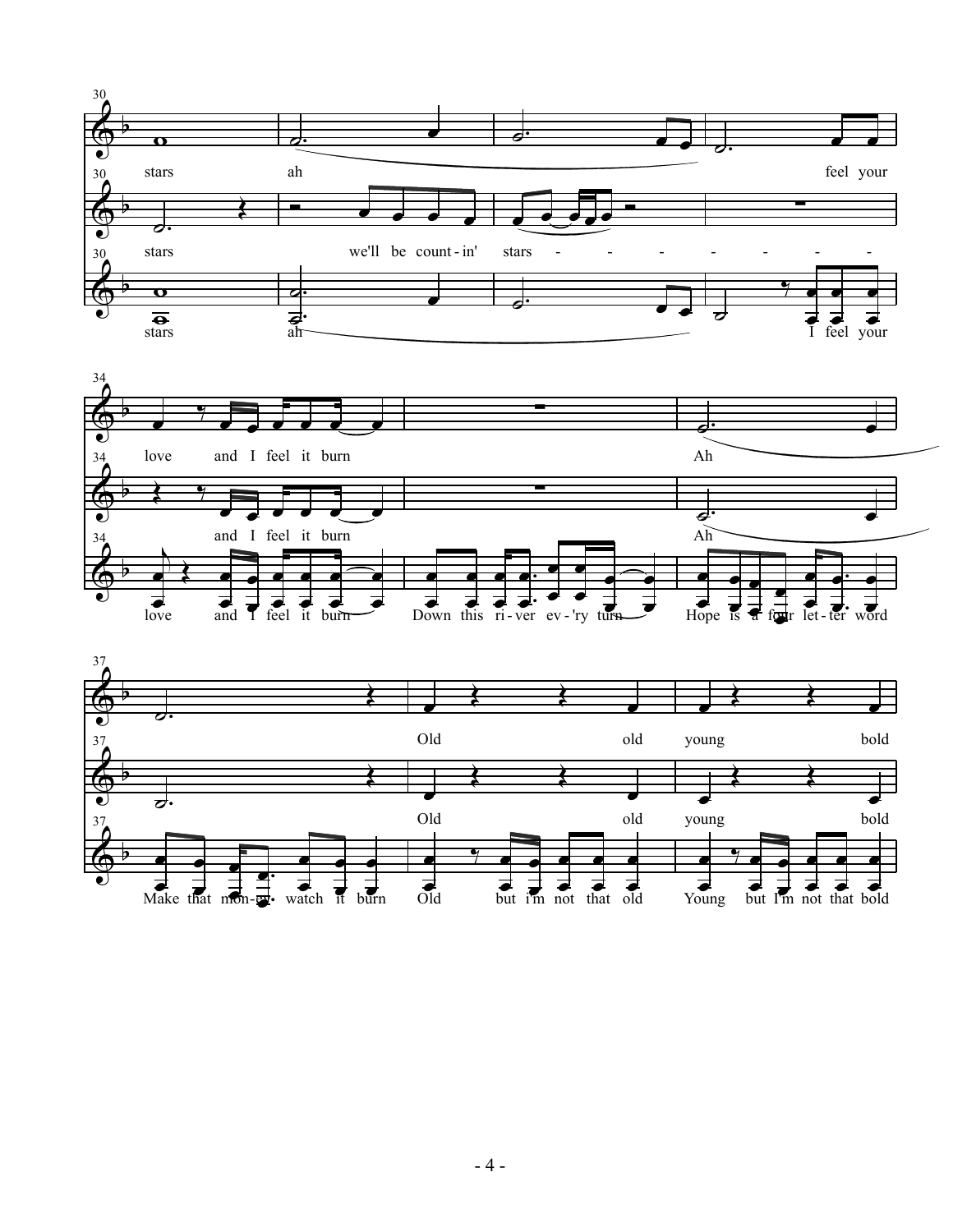



![](_page_3_Figure_2.jpeg)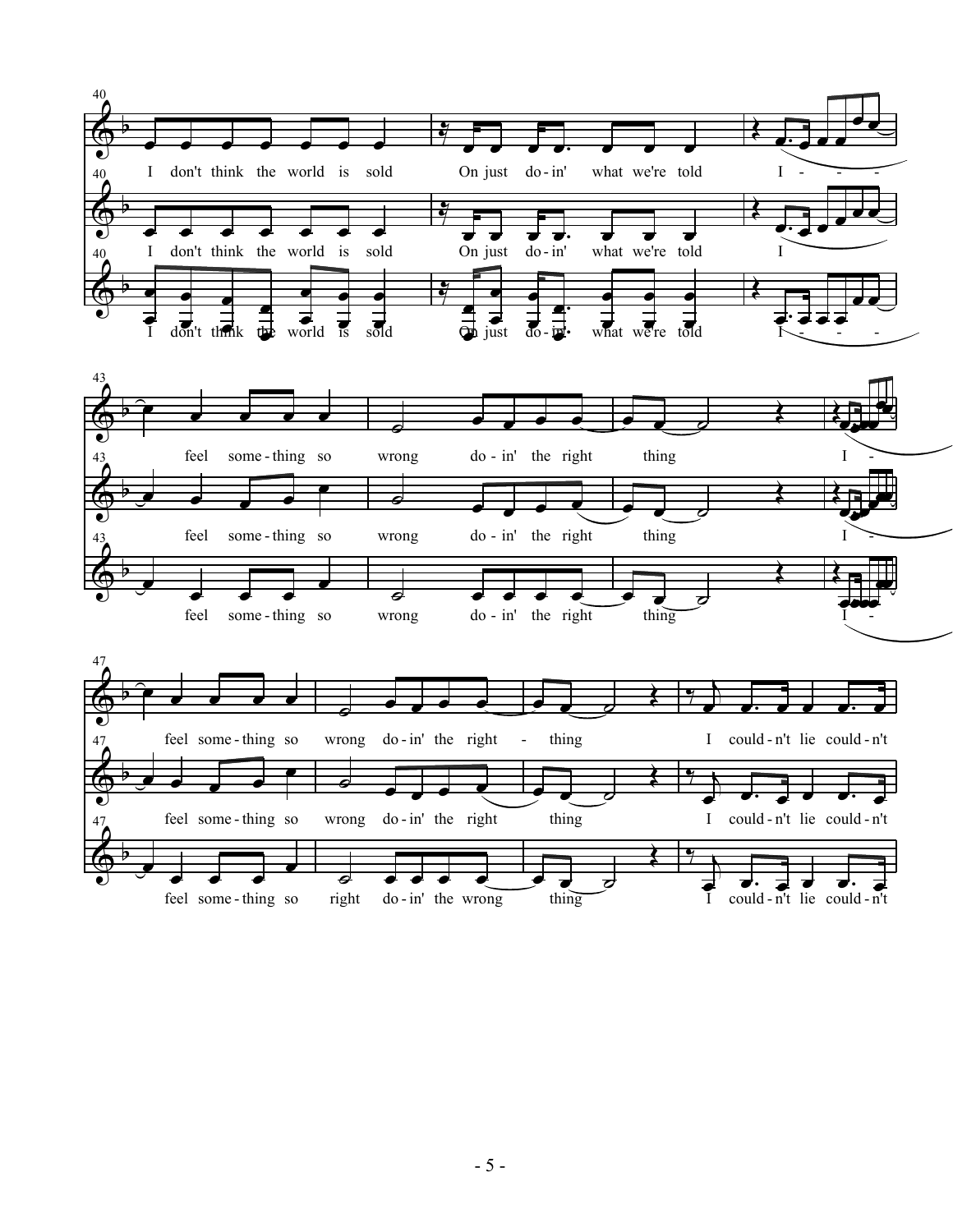![](_page_4_Figure_0.jpeg)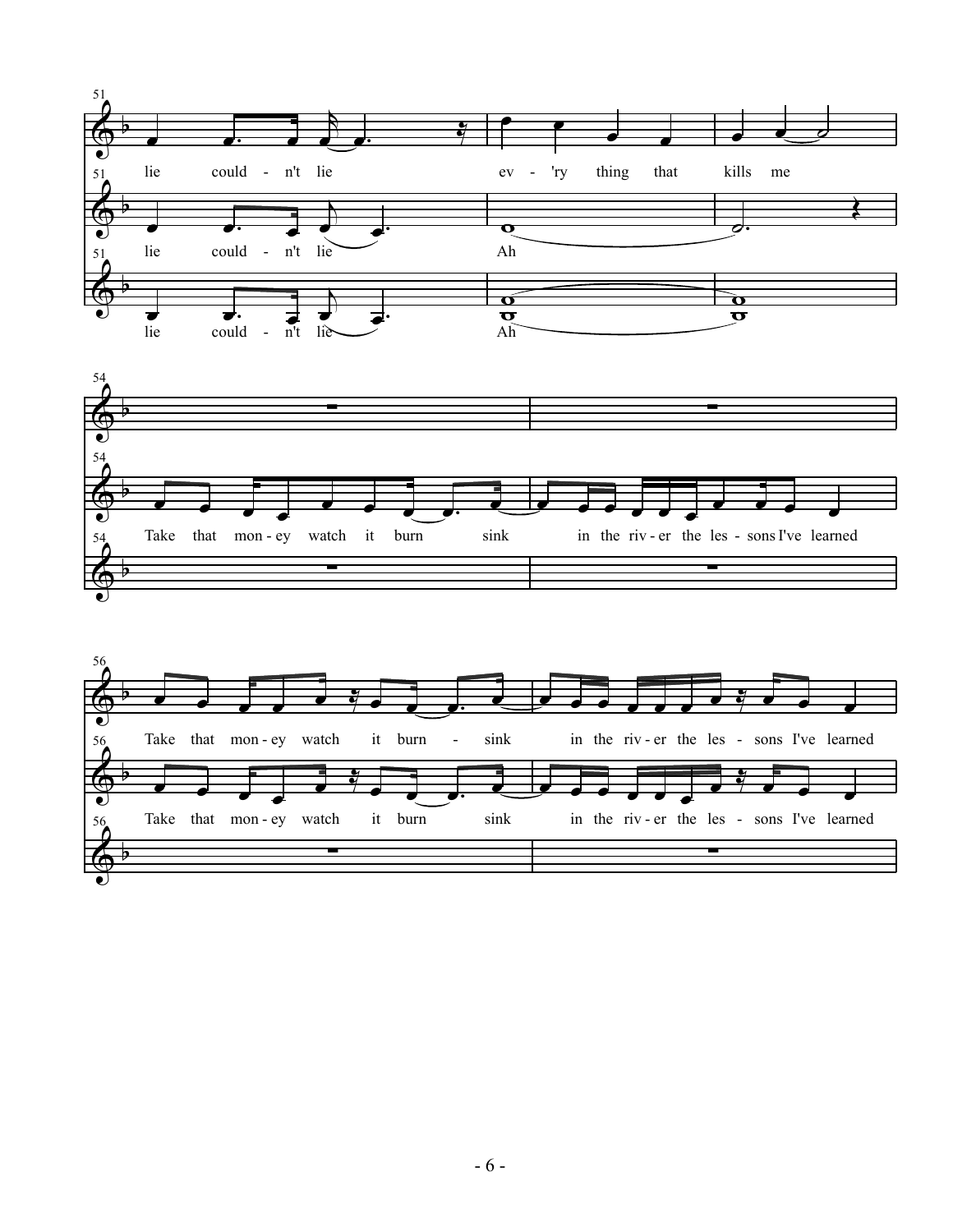![](_page_5_Figure_0.jpeg)

![](_page_5_Figure_1.jpeg)

![](_page_5_Figure_2.jpeg)